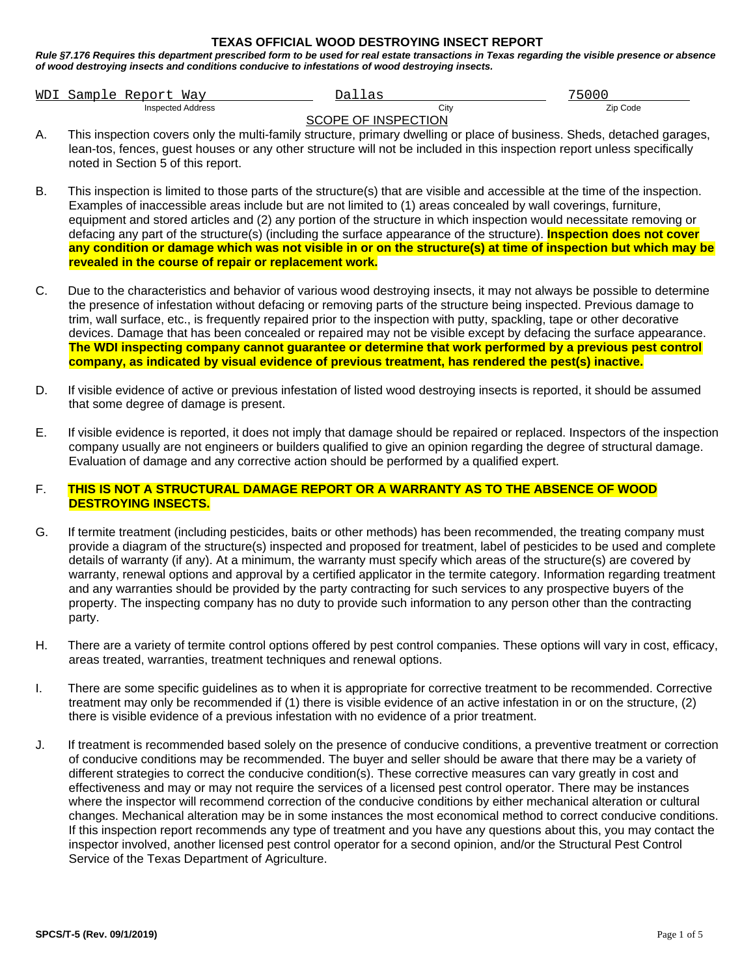## **TEXAS OFFICIAL WOOD DESTROYING INSECT REPORT**

*Rule §7.176 Requires this department prescribed form to be used for real estate transactions in Texas regarding the visible presence or absence of wood destroying insects and conditions conducive to infestations of wood destroying insects.*

|                     | WDI Sample Report Way | Dallas | 75000    |  |  |  |
|---------------------|-----------------------|--------|----------|--|--|--|
|                     | Inspected Address     | City   | Zip Code |  |  |  |
| SCOPE OF INSPECTION |                       |        |          |  |  |  |

- A. This inspection covers only the multi-family structure, primary dwelling or place of business. Sheds, detached garages, lean-tos, fences, guest houses or any other structure will not be included in this inspection report unless specifically noted in Section 5 of this report.
- B. This inspection is limited to those parts of the structure(s) that are visible and accessible at the time of the inspection. Examples of inaccessible areas include but are not limited to (1) areas concealed by wall coverings, furniture, equipment and stored articles and (2) any portion of the structure in which inspection would necessitate removing or defacing any part of the structure(s) (including the surface appearance of the structure). **Inspection does not cover any condition or damage which was not visible in or on the structure(s) at time of inspection but which may be revealed in the course of repair or replacement work.**
- C. Due to the characteristics and behavior of various wood destroying insects, it may not always be possible to determine the presence of infestation without defacing or removing parts of the structure being inspected. Previous damage to trim, wall surface, etc., is frequently repaired prior to the inspection with putty, spackling, tape or other decorative devices. Damage that has been concealed or repaired may not be visible except by defacing the surface appearance. **The WDI inspecting company cannot guarantee or determine that work performed by a previous pest control company, as indicated by visual evidence of previous treatment, has rendered the pest(s) inactive.**
- D. If visible evidence of active or previous infestation of listed wood destroying insects is reported, it should be assumed that some degree of damage is present.
- E. If visible evidence is reported, it does not imply that damage should be repaired or replaced. Inspectors of the inspection company usually are not engineers or builders qualified to give an opinion regarding the degree of structural damage. Evaluation of damage and any corrective action should be performed by a qualified expert.

## F. **THIS IS NOT A STRUCTURAL DAMAGE REPORT OR A WARRANTY AS TO THE ABSENCE OF WOOD DESTROYING INSECTS.**

- G. If termite treatment (including pesticides, baits or other methods) has been recommended, the treating company must provide a diagram of the structure(s) inspected and proposed for treatment, label of pesticides to be used and complete details of warranty (if any). At a minimum, the warranty must specify which areas of the structure(s) are covered by warranty, renewal options and approval by a certified applicator in the termite category. Information regarding treatment and any warranties should be provided by the party contracting for such services to any prospective buyers of the property. The inspecting company has no duty to provide such information to any person other than the contracting party.
- H. There are a variety of termite control options offered by pest control companies. These options will vary in cost, efficacy, areas treated, warranties, treatment techniques and renewal options.
- I. There are some specific guidelines as to when it is appropriate for corrective treatment to be recommended. Corrective treatment may only be recommended if (1) there is visible evidence of an active infestation in or on the structure, (2) there is visible evidence of a previous infestation with no evidence of a prior treatment.
- J. If treatment is recommended based solely on the presence of conducive conditions, a preventive treatment or correction of conducive conditions may be recommended. The buyer and seller should be aware that there may be a variety of different strategies to correct the conducive condition(s). These corrective measures can vary greatly in cost and effectiveness and may or may not require the services of a licensed pest control operator. There may be instances where the inspector will recommend correction of the conducive conditions by either mechanical alteration or cultural changes. Mechanical alteration may be in some instances the most economical method to correct conducive conditions. If this inspection report recommends any type of treatment and you have any questions about this, you may contact the inspector involved, another licensed pest control operator for a second opinion, and/or the Structural Pest Control Service of the Texas Department of Agriculture.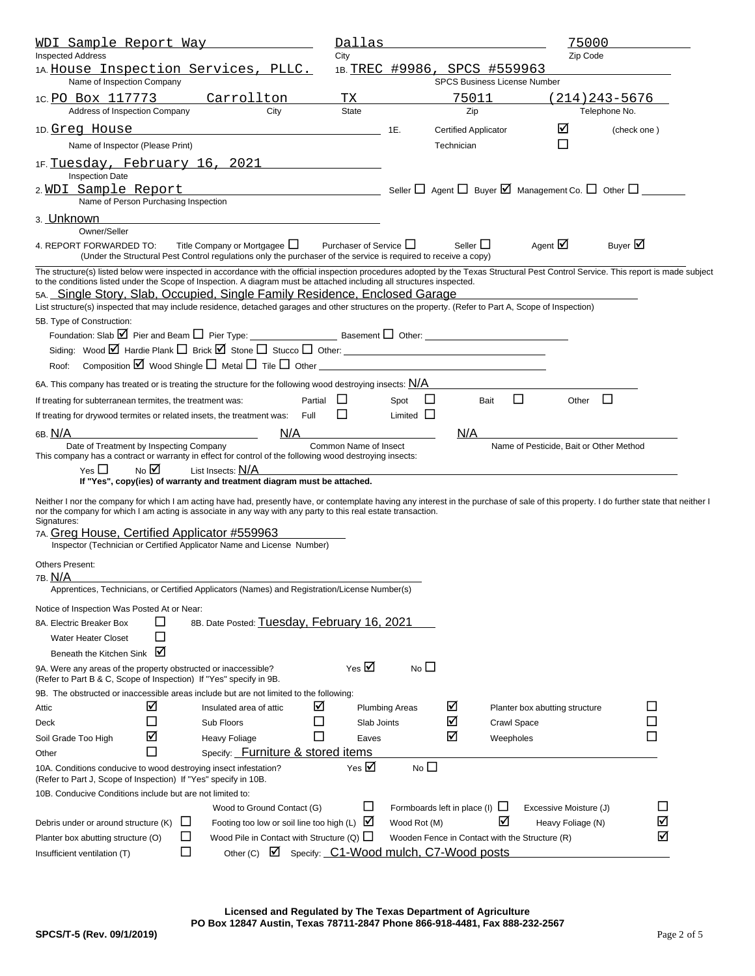| <u>WDI Sample Report Way</u>                                                                                                                                                                                                                                                                              |                                                                                                                 |                                   |                                                       | Dallas                                |                       |   |                                                                                       |                    | 75000                                   |                   |             |
|-----------------------------------------------------------------------------------------------------------------------------------------------------------------------------------------------------------------------------------------------------------------------------------------------------------|-----------------------------------------------------------------------------------------------------------------|-----------------------------------|-------------------------------------------------------|---------------------------------------|-----------------------|---|---------------------------------------------------------------------------------------|--------------------|-----------------------------------------|-------------------|-------------|
| <b>Inspected Address</b>                                                                                                                                                                                                                                                                                  |                                                                                                                 |                                   |                                                       | City                                  |                       |   |                                                                                       |                    | Zip Code                                |                   |             |
| 1A. House Inspection Services, PLLC.<br>Name of Inspection Company                                                                                                                                                                                                                                        |                                                                                                                 |                                   |                                                       | 1B. TREC #9986,                       |                       |   | SPCS #559963<br><b>SPCS Business License Number</b>                                   |                    |                                         |                   |             |
| 1C. PO Box 117773                                                                                                                                                                                                                                                                                         |                                                                                                                 | Carrollton                        |                                                       | TХ                                    |                       |   | 75011                                                                                 |                    |                                         | 214) 243-5676     |             |
| Address of Inspection Company                                                                                                                                                                                                                                                                             |                                                                                                                 |                                   | City                                                  | <b>State</b>                          |                       |   | Zip                                                                                   |                    |                                         | Telephone No.     |             |
| 1D. Greg House                                                                                                                                                                                                                                                                                            |                                                                                                                 |                                   |                                                       |                                       | 1E.                   |   | <b>Certified Applicator</b>                                                           |                    | ⊻                                       |                   | (check one) |
| Name of Inspector (Please Print)                                                                                                                                                                                                                                                                          |                                                                                                                 |                                   |                                                       |                                       |                       |   | Technician                                                                            |                    | П                                       |                   |             |
| 1F. Tuesday, February 16, 2021                                                                                                                                                                                                                                                                            |                                                                                                                 |                                   |                                                       |                                       |                       |   |                                                                                       |                    |                                         |                   |             |
| <b>Inspection Date</b>                                                                                                                                                                                                                                                                                    |                                                                                                                 |                                   |                                                       |                                       |                       |   |                                                                                       |                    |                                         |                   |             |
| 2.WDI Sample Report                                                                                                                                                                                                                                                                                       |                                                                                                                 |                                   | the control of the control of the control of          |                                       |                       |   | Seller $\Box$ Agent $\Box$ Buyer $\boxtimes$ Management Co. $\Box$ Other $\Box$ _____ |                    |                                         |                   |             |
|                                                                                                                                                                                                                                                                                                           | Name of Person Purchasing Inspection                                                                            |                                   |                                                       |                                       |                       |   |                                                                                       |                    |                                         |                   |             |
| 3. Unknown                                                                                                                                                                                                                                                                                                |                                                                                                                 |                                   |                                                       |                                       |                       |   |                                                                                       |                    |                                         |                   |             |
| Owner/Seller<br>4. REPORT FORWARDED TO:                                                                                                                                                                                                                                                                   |                                                                                                                 | Title Company or Mortgagee $\Box$ |                                                       | Purchaser of Service L                |                       |   | Seller L                                                                              |                    | Agent $\boxtimes$                       | Buyer $\boxtimes$ |             |
|                                                                                                                                                                                                                                                                                                           | (Under the Structural Pest Control regulations only the purchaser of the service is required to receive a copy) |                                   |                                                       |                                       |                       |   |                                                                                       |                    |                                         |                   |             |
| The structure(s) listed below were inspected in accordance with the official inspection procedures adopted by the Texas Structural Pest Control Service. This report is made subject                                                                                                                      |                                                                                                                 |                                   |                                                       |                                       |                       |   |                                                                                       |                    |                                         |                   |             |
| to the conditions listed under the Scope of Inspection. A diagram must be attached including all structures inspected.<br>5A. Single Story, Slab, Occupied, Single Family Residence, Enclosed Garage                                                                                                      |                                                                                                                 |                                   |                                                       |                                       |                       |   |                                                                                       |                    |                                         |                   |             |
| List structure(s) inspected that may include residence, detached garages and other structures on the property. (Refer to Part A, Scope of Inspection)                                                                                                                                                     |                                                                                                                 |                                   |                                                       |                                       |                       |   |                                                                                       |                    |                                         |                   |             |
| 5B. Type of Construction:                                                                                                                                                                                                                                                                                 |                                                                                                                 |                                   |                                                       |                                       |                       |   |                                                                                       |                    |                                         |                   |             |
|                                                                                                                                                                                                                                                                                                           |                                                                                                                 |                                   |                                                       |                                       |                       |   |                                                                                       |                    |                                         |                   |             |
|                                                                                                                                                                                                                                                                                                           |                                                                                                                 |                                   |                                                       |                                       |                       |   |                                                                                       |                    |                                         |                   |             |
| Roof:                                                                                                                                                                                                                                                                                                     | Composition $\boxtimes$ Wood Shingle $\Box$ Metal $\Box$ Tile $\Box$ Other                                      |                                   |                                                       |                                       |                       |   |                                                                                       |                    |                                         |                   |             |
| 6A. This company has treated or is treating the structure for the following wood destroying insects: $\underline{\mathsf{N}/\mathsf{A}}$                                                                                                                                                                  |                                                                                                                 |                                   |                                                       |                                       |                       |   |                                                                                       |                    |                                         |                   |             |
| If treating for subterranean termites, the treatment was:                                                                                                                                                                                                                                                 |                                                                                                                 |                                   | Partial                                               |                                       | Spot                  |   | Bait                                                                                  | □                  | Other                                   | □                 |             |
| If treating for drywood termites or related insets, the treatment was:                                                                                                                                                                                                                                    |                                                                                                                 |                                   | Full                                                  |                                       | Limited               | ப |                                                                                       |                    |                                         |                   |             |
| 6в. <u>N/A</u>                                                                                                                                                                                                                                                                                            |                                                                                                                 |                                   | N/A                                                   |                                       |                       |   | N/A                                                                                   |                    |                                         |                   |             |
| Date of Treatment by Inspecting Company                                                                                                                                                                                                                                                                   |                                                                                                                 |                                   |                                                       | Common Name of Insect                 |                       |   |                                                                                       |                    | Name of Pesticide, Bait or Other Method |                   |             |
| This company has a contract or warranty in effect for control of the following wood destroying insects:                                                                                                                                                                                                   |                                                                                                                 |                                   |                                                       |                                       |                       |   |                                                                                       |                    |                                         |                   |             |
| Yes $\Box$                                                                                                                                                                                                                                                                                                | No M<br>If "Yes", copy(ies) of warranty and treatment diagram must be attached.                                 | List Insects: N/A                 |                                                       |                                       |                       |   |                                                                                       |                    |                                         |                   |             |
|                                                                                                                                                                                                                                                                                                           |                                                                                                                 |                                   |                                                       |                                       |                       |   |                                                                                       |                    |                                         |                   |             |
| Neither I nor the company for which I am acting have had, presently have, or contemplate having any interest in the purchase of sale of this property. I do further state that neither I<br>nor the company for which I am acting is associate in any way with any party to this real estate transaction. |                                                                                                                 |                                   |                                                       |                                       |                       |   |                                                                                       |                    |                                         |                   |             |
| Signatures:                                                                                                                                                                                                                                                                                               |                                                                                                                 |                                   |                                                       |                                       |                       |   |                                                                                       |                    |                                         |                   |             |
| 7A. Greg House, Certified Applicator #559963<br>Inspector (Technician or Certified Applicator Name and License Number)                                                                                                                                                                                    |                                                                                                                 |                                   |                                                       |                                       |                       |   |                                                                                       |                    |                                         |                   |             |
|                                                                                                                                                                                                                                                                                                           |                                                                                                                 |                                   |                                                       |                                       |                       |   |                                                                                       |                    |                                         |                   |             |
| <b>Others Present:</b>                                                                                                                                                                                                                                                                                    |                                                                                                                 |                                   |                                                       |                                       |                       |   |                                                                                       |                    |                                         |                   |             |
| 7в. <u>N/A</u><br>Apprentices, Technicians, or Certified Applicators (Names) and Registration/License Number(s)                                                                                                                                                                                           |                                                                                                                 |                                   |                                                       |                                       |                       |   |                                                                                       |                    |                                         |                   |             |
|                                                                                                                                                                                                                                                                                                           |                                                                                                                 |                                   |                                                       |                                       |                       |   |                                                                                       |                    |                                         |                   |             |
| Notice of Inspection Was Posted At or Near:<br>8A. Electric Breaker Box                                                                                                                                                                                                                                   | ப                                                                                                               |                                   | 8B. Date Posted: Tuesday, February 16, 2021           |                                       |                       |   |                                                                                       |                    |                                         |                   |             |
| <b>Water Heater Closet</b>                                                                                                                                                                                                                                                                                | $\Box$                                                                                                          |                                   |                                                       |                                       |                       |   |                                                                                       |                    |                                         |                   |             |
| Beneath the Kitchen Sink                                                                                                                                                                                                                                                                                  | ☑                                                                                                               |                                   |                                                       |                                       |                       |   |                                                                                       |                    |                                         |                   |             |
| 9A. Were any areas of the property obstructed or inaccessible?                                                                                                                                                                                                                                            |                                                                                                                 |                                   |                                                       | Yes $\boxtimes$                       | No <sub>1</sub>       |   |                                                                                       |                    |                                         |                   |             |
| (Refer to Part B & C, Scope of Inspection) If "Yes" specify in 9B.                                                                                                                                                                                                                                        |                                                                                                                 |                                   |                                                       |                                       |                       |   |                                                                                       |                    |                                         |                   |             |
| 9B. The obstructed or inaccessible areas include but are not limited to the following:                                                                                                                                                                                                                    |                                                                                                                 |                                   |                                                       |                                       |                       |   |                                                                                       |                    |                                         |                   |             |
| Attic                                                                                                                                                                                                                                                                                                     | ⊻                                                                                                               | Insulated area of attic           | ⊻                                                     |                                       | <b>Plumbing Areas</b> |   | ☑                                                                                     |                    | Planter box abutting structure          |                   | ⊔           |
| Deck                                                                                                                                                                                                                                                                                                      | $\sim$                                                                                                          | Sub Floors                        | $\sim$                                                | Slab Joints                           |                       |   | ☑                                                                                     | <b>Crawl Space</b> |                                         |                   |             |
| Soil Grade Too High                                                                                                                                                                                                                                                                                       | ⊻                                                                                                               | <b>Heavy Foliage</b>              | $\Box$                                                | Eaves                                 |                       |   | ☑                                                                                     | Weepholes          |                                         |                   |             |
| Other                                                                                                                                                                                                                                                                                                     | $\Box$                                                                                                          |                                   | Specify: Furniture & stored items                     |                                       |                       |   |                                                                                       |                    |                                         |                   |             |
| 10A. Conditions conducive to wood destroying insect infestation?<br>(Refer to Part J, Scope of Inspection) If "Yes" specify in 10B.                                                                                                                                                                       |                                                                                                                 |                                   |                                                       | Yes $\boxtimes$                       | No <sub>1</sub>       |   |                                                                                       |                    |                                         |                   |             |
| 10B. Conducive Conditions include but are not limited to:                                                                                                                                                                                                                                                 |                                                                                                                 |                                   |                                                       |                                       |                       |   |                                                                                       |                    |                                         |                   |             |
|                                                                                                                                                                                                                                                                                                           |                                                                                                                 |                                   | Wood to Ground Contact (G)                            | $\Box$                                |                       |   | Formboards left in place (I) $\Box$                                                   |                    | Excessive Moisture (J)                  |                   |             |
| Debris under or around structure (K)                                                                                                                                                                                                                                                                      | ப                                                                                                               |                                   | Footing too low or soil line too high (L) $\boxtimes$ |                                       | Wood Rot (M)          |   |                                                                                       | ☑                  | Heavy Foliage (N)                       |                   | ☑           |
| Planter box abutting structure (O)                                                                                                                                                                                                                                                                        | $\mathsf{L}$                                                                                                    |                                   | Wood Pile in Contact with Structure (Q) $\Box$        |                                       |                       |   | Wooden Fence in Contact with the Structure (R)                                        |                    |                                         |                   | ☑           |
| Insufficient ventilation (T)                                                                                                                                                                                                                                                                              | □                                                                                                               | Other $(C)$                       | M                                                     | Specify: C1-Wood mulch, C7-Wood posts |                       |   |                                                                                       |                    |                                         |                   |             |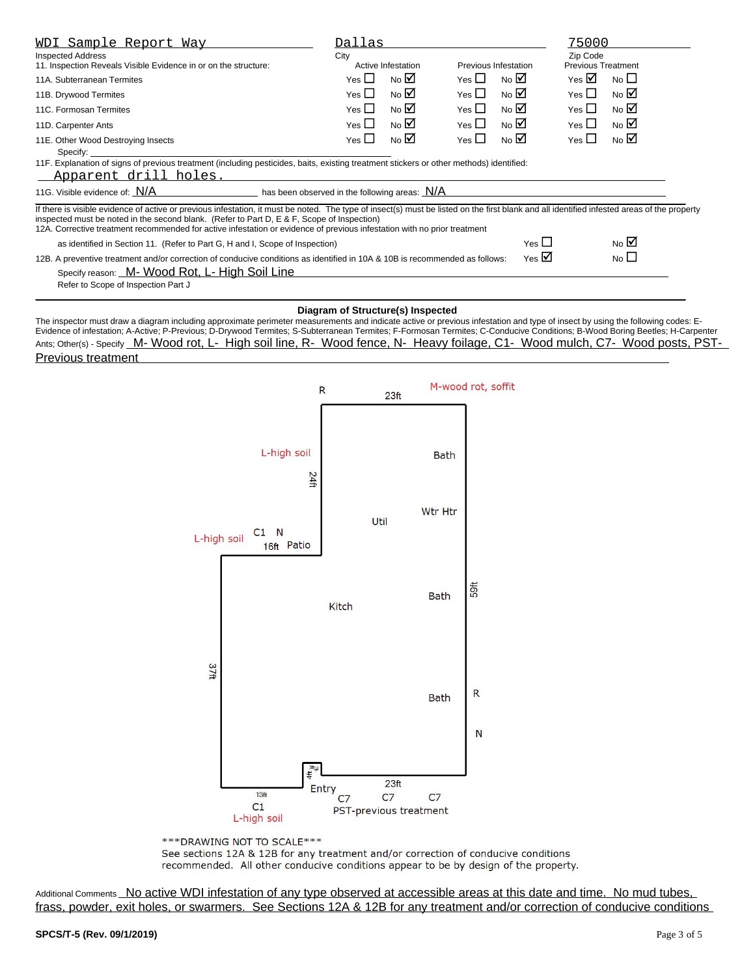| <u>WDI Sample Report Way</u>                                                                                                                                                                                                                                                                                                                                                                                          | Dallas                                             |                |            |                                 | 75000                                 |                 |  |  |
|-----------------------------------------------------------------------------------------------------------------------------------------------------------------------------------------------------------------------------------------------------------------------------------------------------------------------------------------------------------------------------------------------------------------------|----------------------------------------------------|----------------|------------|---------------------------------|---------------------------------------|-----------------|--|--|
| <b>Inspected Address</b><br>11. Inspection Reveals Visible Evidence in or on the structure:                                                                                                                                                                                                                                                                                                                           | City<br>Active Infestation<br>Previous Infestation |                |            |                                 | Zip Code<br><b>Previous Treatment</b> |                 |  |  |
| 11A. Subterranean Termites                                                                                                                                                                                                                                                                                                                                                                                            | Yes $\Box$                                         | No $\boxtimes$ | Yes $\Box$ | No $\overline{\mathbf{\Sigma}}$ | Yes $\boxtimes$                       | No <sub>1</sub> |  |  |
| 11B. Drywood Termites                                                                                                                                                                                                                                                                                                                                                                                                 | Yes $\Box$                                         | No $\nabla$    | Yes $\Box$ | No $\nabla$                     | Yes $\square$                         | No $\boxtimes$  |  |  |
| 11C. Formosan Termites                                                                                                                                                                                                                                                                                                                                                                                                | Yes $\Box$                                         | No $\boxtimes$ | Yes $\Box$ | No $\boxtimes$                  | Yes $\Box$                            | No $\nabla$     |  |  |
| 11D. Carpenter Ants                                                                                                                                                                                                                                                                                                                                                                                                   | Yes $\square$                                      | No $\boxtimes$ | Yes $\Box$ | No $\boxtimes$                  | Yes $\square$                         | No $\boxtimes$  |  |  |
| 11E. Other Wood Destroying Insects<br>Specify:                                                                                                                                                                                                                                                                                                                                                                        | Yes $\Box$                                         | No $\nabla$    | Yes $\Box$ | No $\overline{\mathbf{M}}$      | Yes $\square$                         | No $\boxtimes$  |  |  |
| 11F. Explanation of signs of previous treatment (including pesticides, baits, existing treatment stickers or other methods) identified:<br>Apparent drill holes.                                                                                                                                                                                                                                                      |                                                    |                |            |                                 |                                       |                 |  |  |
| 11G. Visible evidence of: $N/A$ has been observed in the following areas: $N/A$                                                                                                                                                                                                                                                                                                                                       |                                                    |                |            |                                 |                                       |                 |  |  |
| If there is visible evidence of active or previous infestation, it must be noted. The type of insect(s) must be listed on the first blank and all identified infested areas of the property<br>inspected must be noted in the second blank. (Refer to Part D, E & F, Scope of Inspection)<br>12A. Corrective treatment recommended for active infestation or evidence of previous infestation with no prior treatment |                                                    |                |            |                                 |                                       |                 |  |  |
| as identified in Section 11. (Refer to Part G, H and I, Scope of Inspection)                                                                                                                                                                                                                                                                                                                                          |                                                    |                |            | Yes $\Box$                      |                                       | No $\boxtimes$  |  |  |
| Yes $\boxtimes$<br>No $\square$<br>12B. A preventive treatment and/or correction of conducive conditions as identified in 10A & 10B is recommended as follows:<br>Specify reason: M- Wood Rot, L- High Soil Line<br>Refer to Scope of Inspection Part J                                                                                                                                                               |                                                    |                |            |                                 |                                       |                 |  |  |
|                                                                                                                                                                                                                                                                                                                                                                                                                       |                                                    |                |            |                                 |                                       |                 |  |  |

**Diagram of Structure(s) Inspected** The inspector must draw a diagram including approximate perimeter measurements and indicate active or previous infestation and type of insect by using the following codes: E-Evidence of infestation; A-Active; P-Previous; D-Drywood Termites; S-Subterranean Termites; F-Formosan Termites; C-Conducive Conditions; B-Wood Boring Beetles; H-Carpenter Ants; Other(s) - Specify M- Wood rot, L- High soil line, R- Wood fence, N- Heavy foilage, C1- Wood mulch, C7- Wood posts, PST-Previous treatment



\*\*\* DRAWING NOT TO SCALE \*\*\*

See sections 12A & 12B for any treatment and/or correction of conducive conditions recommended. All other conducive conditions appear to be by design of the property.

Additional Comments No active WDI infestation of any type observed at accessible areas at this date and time. No mud tubes, frass, powder, exit holes, or swarmers. See Sections 12A & 12B for any treatment and/or correction of conducive conditions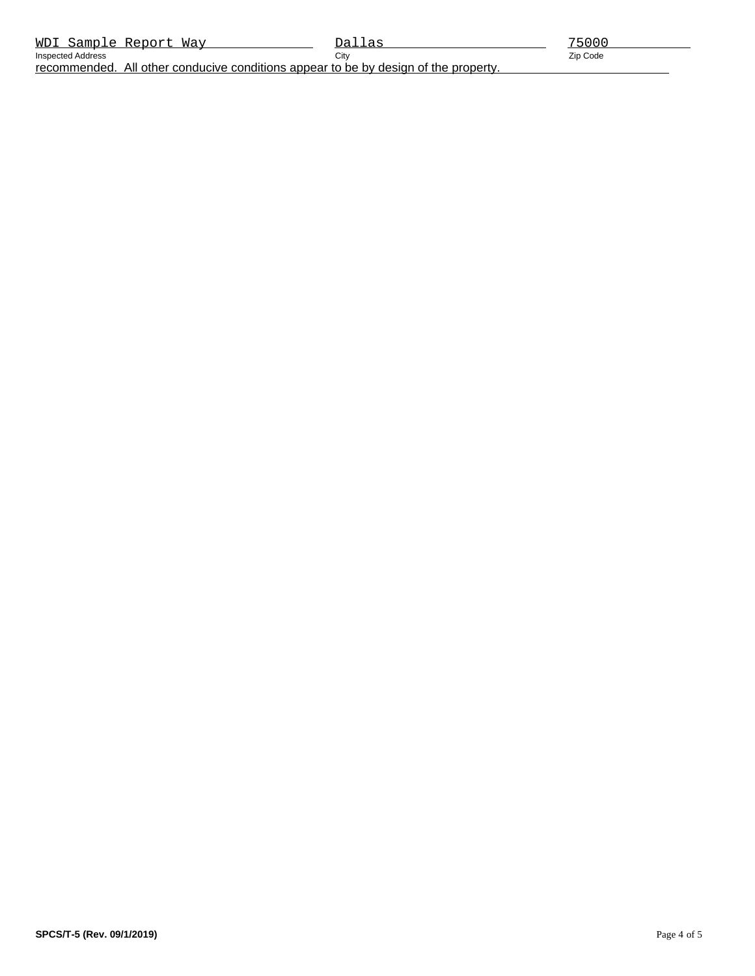recommended. All other conducive conditions appear to be by design of the property.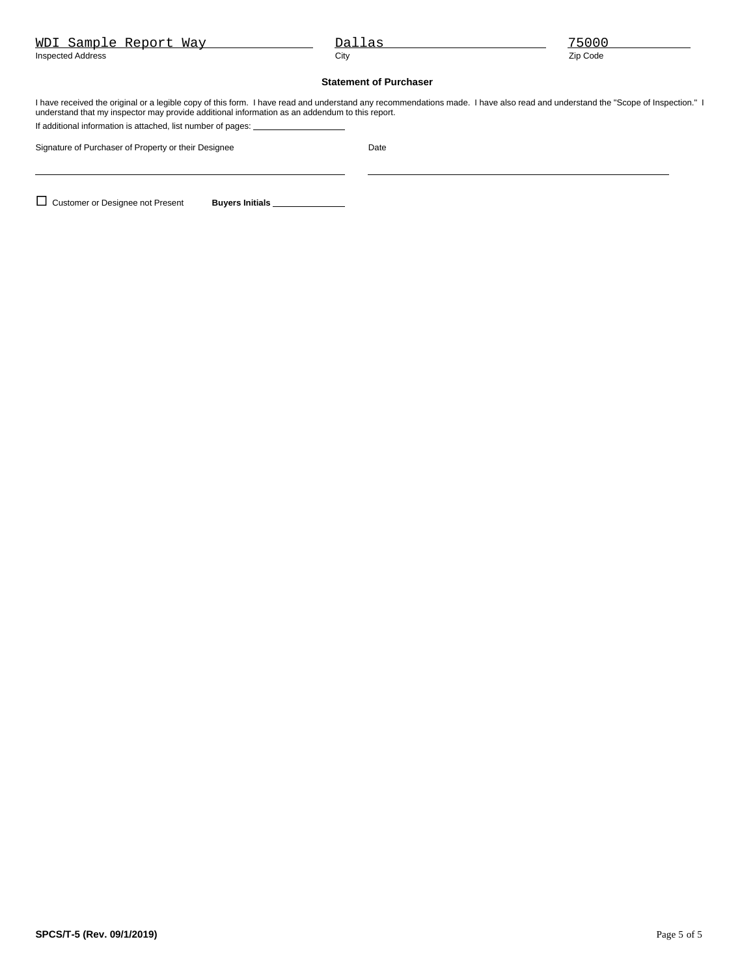| WDI Sample Report Way                                                                                                                                                                                                                                                                                                                            | Dallas                        | 75000    |  |  |  |  |
|--------------------------------------------------------------------------------------------------------------------------------------------------------------------------------------------------------------------------------------------------------------------------------------------------------------------------------------------------|-------------------------------|----------|--|--|--|--|
| <b>Inspected Address</b>                                                                                                                                                                                                                                                                                                                         | City                          | Zip Code |  |  |  |  |
|                                                                                                                                                                                                                                                                                                                                                  | <b>Statement of Purchaser</b> |          |  |  |  |  |
| I have received the original or a legible copy of this form. I have read and understand any recommendations made. I have also read and understand the "Scope of Inspection." I<br>understand that my inspector may provide additional information as an addendum to this report.<br>If additional information is attached, list number of pages: |                               |          |  |  |  |  |
| Signature of Purchaser of Property or their Designee                                                                                                                                                                                                                                                                                             | Date                          |          |  |  |  |  |
|                                                                                                                                                                                                                                                                                                                                                  |                               |          |  |  |  |  |
| <b>Customer or Designee not Present</b><br><b>Buvers Initials</b>                                                                                                                                                                                                                                                                                |                               |          |  |  |  |  |